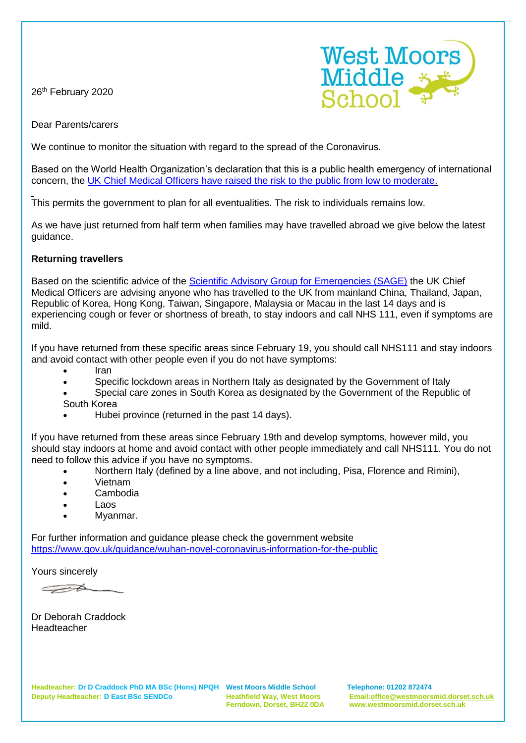26<sup>th</sup> February 2020



Dear Parents/carers

We continue to monitor the situation with regard to the spread of the Coronavirus.

Based on the World Health Organization's declaration that this is a public health emergency of international concern, the [UK Chief Medical Officers have raised the risk to the public from low to moderate.](https://www.gov.uk/government/news/statement-from-the-four-uk-chief-medical-officers-on-novel-coronavirus)

This permits the government to plan for all eventualities. The risk to individuals remains low.

As we have just returned from half term when families may have travelled abroad we give below the latest guidance.

## **Returning travellers**

Based on the scientific advice of the [Scientific Advisory Group for Emergencies \(SAGE\)](https://www.gov.uk/government/groups/scientific-advisory-group-for-emergencies-sage) the UK Chief Medical Officers are advising anyone who has travelled to the UK from mainland China, Thailand, Japan, Republic of Korea, Hong Kong, Taiwan, Singapore, Malaysia or Macau in the last 14 days and is experiencing cough or fever or shortness of breath, to stay indoors and call NHS 111, even if symptoms are mild.

If you have returned from these specific areas since February 19, you should call NHS111 and stay indoors and avoid contact with other people even if you do not have symptoms:

- Iran
- Specific lockdown areas in Northern Italy as designated by the Government of Italy
- Special care zones in South Korea as designated by the Government of the Republic of
- South Korea
- Hubei province (returned in the past 14 days).

If you have returned from these areas since February 19th and develop symptoms, however mild, you should stay indoors at home and avoid contact with other people immediately and call NHS111. You do not need to follow this advice if you have no symptoms.

- Northern Italy (defined by a line above, and not including, Pisa, Florence and Rimini),
- Vietnam
- Cambodia
- Laos
- Myanmar.

For further information and guidance please check the government website <https://www.gov.uk/guidance/wuhan-novel-coronavirus-information-for-the-public>

Yours sincerely

 $\overline{\phantom{a}}$ 

Dr Deborah Craddock Headteacher

 **Ferndown, Dorset, BH22 0DA www.westmoorsmid.dorset.sch.uk**